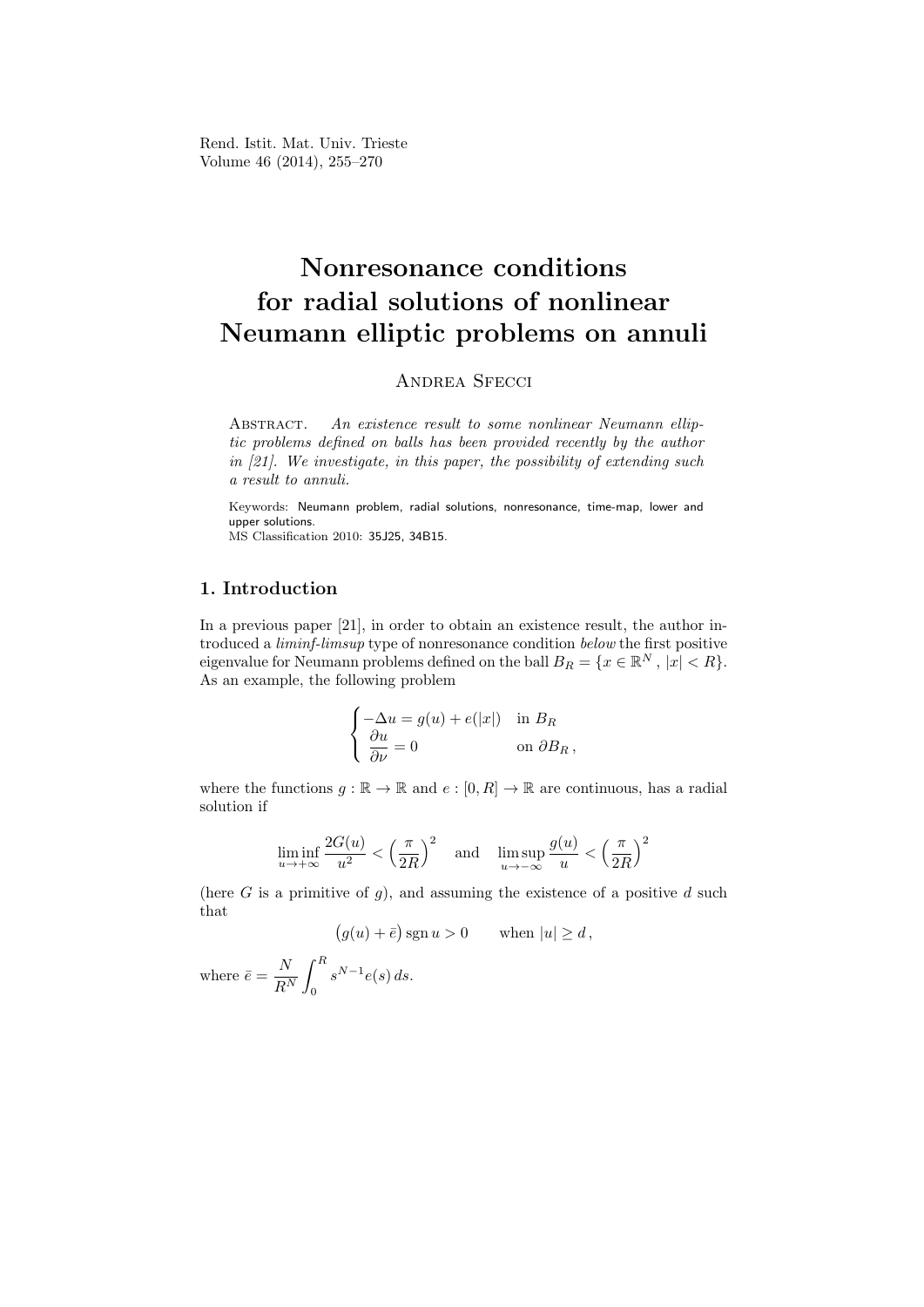Rend. Istit. Mat. Univ. Trieste Volume 46 (2014), 255–270

# Nonresonance conditions for radial solutions of nonlinear Neumann elliptic problems on annuli

# ANDREA SFECCI

ABSTRACT. An existence result to some nonlinear Neumann elliptic problems defined on balls has been provided recently by the author in [21]. We investigate, in this paper, the possibility of extending such a result to annuli.

Keywords: Neumann problem, radial solutions, nonresonance, time-map, lower and upper solutions. MS Classification 2010: 35J25, 34B15.

# 1. Introduction

In a previous paper [21], in order to obtain an existence result, the author introduced a liminf-limsup type of nonresonance condition below the first positive eigenvalue for Neumann problems defined on the ball  $B_R = \{x \in \mathbb{R}^N, |x| < R\}.$ As an example, the following problem

$$
\begin{cases}\n-\Delta u = g(u) + e(|x|) & \text{in } B_R \\
\frac{\partial u}{\partial \nu} = 0 & \text{on } \partial B_R,\n\end{cases}
$$

where the functions  $g : \mathbb{R} \to \mathbb{R}$  and  $e : [0, R] \to \mathbb{R}$  are continuous, has a radial solution if

$$
\liminf_{u \to +\infty} \frac{2G(u)}{u^2} < \left(\frac{\pi}{2R}\right)^2 \quad \text{and} \quad \limsup_{u \to -\infty} \frac{g(u)}{u} < \left(\frac{\pi}{2R}\right)^2
$$

(here  $G$  is a primitive of  $g$ ), and assuming the existence of a positive  $d$  such that

$$
(g(u) + \bar{e})
$$
sgn  $u > 0$  when  $|u| \ge d$ ,

where  $\bar{e} = \frac{N}{R}$  $R^N$  $\int^R$ 0  $s^{N-1}e(s) ds.$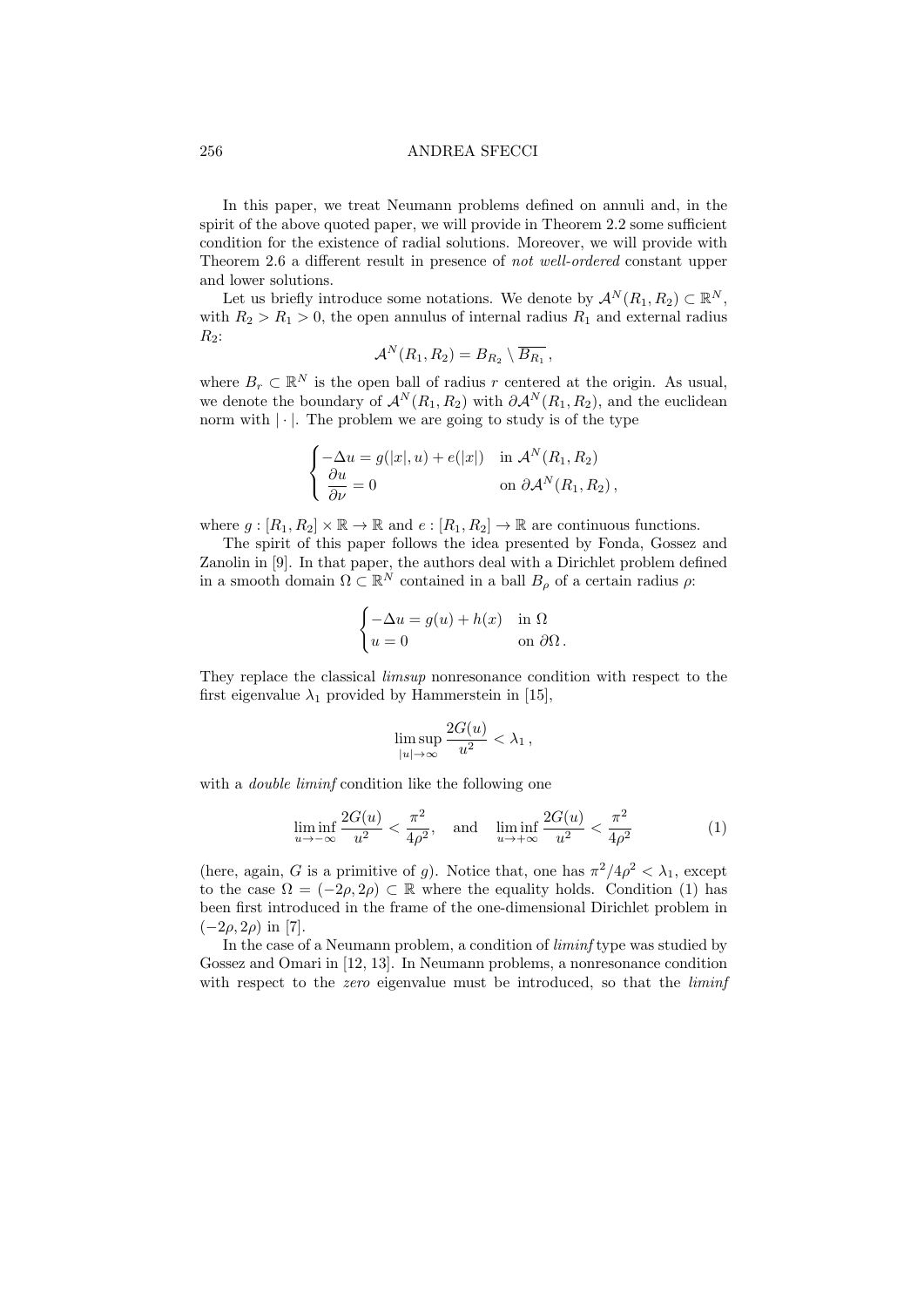In this paper, we treat Neumann problems defined on annuli and, in the spirit of the above quoted paper, we will provide in Theorem 2.2 some sufficient condition for the existence of radial solutions. Moreover, we will provide with Theorem 2.6 a different result in presence of not well-ordered constant upper and lower solutions.

Let us briefly introduce some notations. We denote by  $\mathcal{A}^N(R_1, R_2) \subset \mathbb{R}^N$ , with  $R_2 > R_1 > 0$ , the open annulus of internal radius  $R_1$  and external radius  $R_2$ :

$$
\mathcal{A}^N(R_1,R_2)=B_{R_2}\setminus\overline{B_{R_1}},
$$

where  $B_r \subset \mathbb{R}^N$  is the open ball of radius r centered at the origin. As usual, we denote the boundary of  $\mathcal{A}^N(R_1, R_2)$  with  $\partial \mathcal{A}^N(R_1, R_2)$ , and the euclidean norm with  $|\cdot|$ . The problem we are going to study is of the type

$$
\begin{cases}\n-\Delta u = g(|x|, u) + e(|x|) & \text{in } \mathcal{A}^N(R_1, R_2) \\
\frac{\partial u}{\partial \nu} = 0 & \text{on } \partial \mathcal{A}^N(R_1, R_2),\n\end{cases}
$$

where  $g : [R_1, R_2] \times \mathbb{R} \to \mathbb{R}$  and  $e : [R_1, R_2] \to \mathbb{R}$  are continuous functions.

The spirit of this paper follows the idea presented by Fonda, Gossez and Zanolin in [9]. In that paper, the authors deal with a Dirichlet problem defined in a smooth domain  $\Omega \subset \mathbb{R}^N$  contained in a ball  $B_\rho$  of a certain radius  $\rho$ :

$$
\begin{cases}\n-\Delta u = g(u) + h(x) & \text{in } \Omega \\
u = 0 & \text{on } \partial\Omega.\n\end{cases}
$$

They replace the classical limsup nonresonance condition with respect to the first eigenvalue  $\lambda_1$  provided by Hammerstein in [15],

$$
\limsup_{|u| \to \infty} \frac{2G(u)}{u^2} < \lambda_1,
$$

with a *double liminf* condition like the following one

$$
\liminf_{u \to -\infty} \frac{2G(u)}{u^2} < \frac{\pi^2}{4\rho^2}, \quad \text{and} \quad \liminf_{u \to +\infty} \frac{2G(u)}{u^2} < \frac{\pi^2}{4\rho^2} \tag{1}
$$

(here, again, G is a primitive of g). Notice that, one has  $\pi^2/4\rho^2 < \lambda_1$ , except to the case  $\Omega = (-2\rho, 2\rho) \subset \mathbb{R}$  where the equality holds. Condition (1) has been first introduced in the frame of the one-dimensional Dirichlet problem in  $(-2\rho, 2\rho)$  in [7].

In the case of a Neumann problem, a condition of *liminf* type was studied by Gossez and Omari in [12, 13]. In Neumann problems, a nonresonance condition with respect to the *zero* eigenvalue must be introduced, so that the *liminf*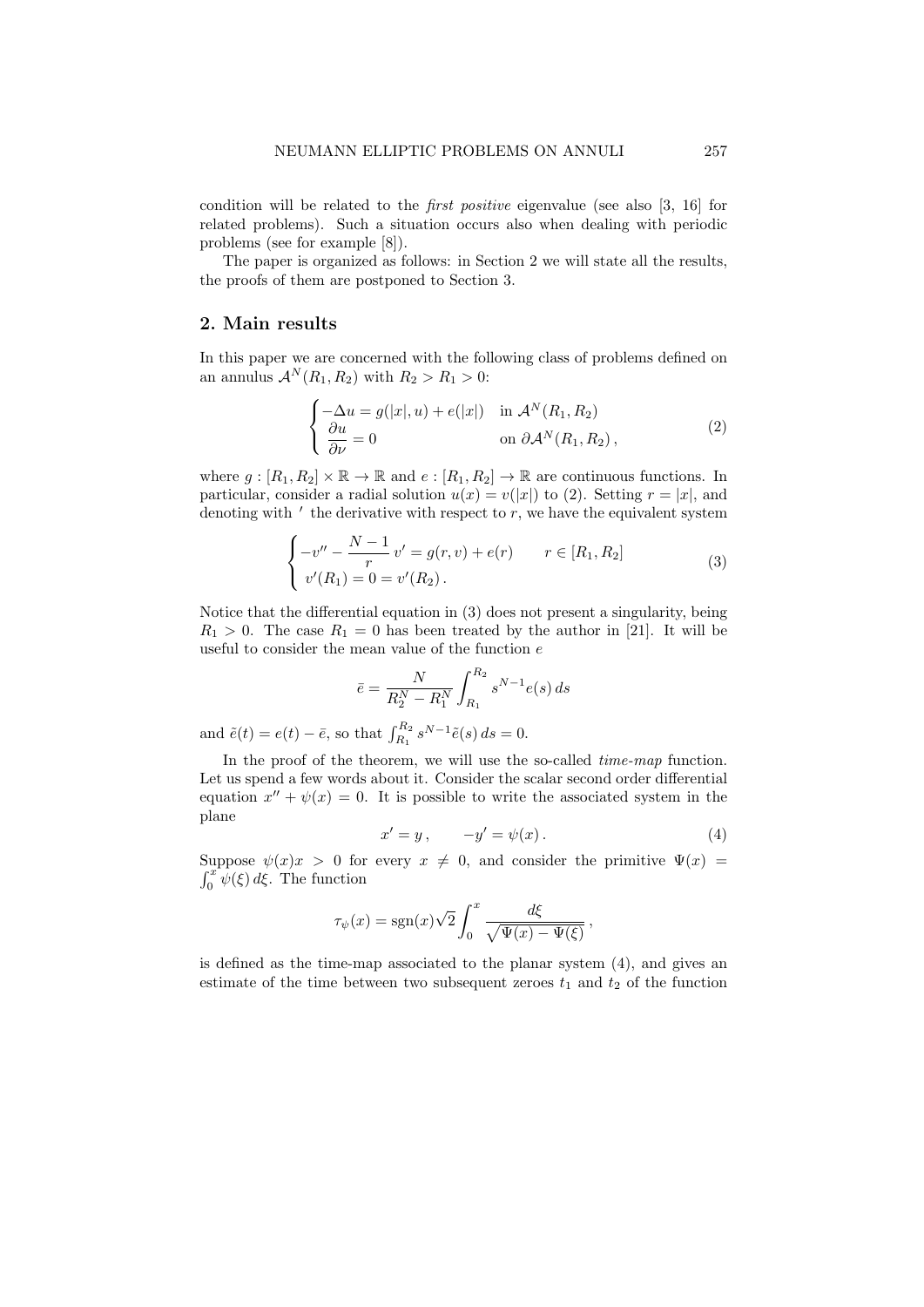condition will be related to the first positive eigenvalue (see also [3, 16] for related problems). Such a situation occurs also when dealing with periodic problems (see for example [8]).

The paper is organized as follows: in Section 2 we will state all the results, the proofs of them are postponed to Section 3.

# 2. Main results

In this paper we are concerned with the following class of problems defined on an annulus  $\mathcal{A}^N(R_1, R_2)$  with  $R_2 > R_1 > 0$ :

$$
\begin{cases}\n-\Delta u = g(|x|, u) + e(|x|) & \text{in } \mathcal{A}^N(R_1, R_2) \\
\frac{\partial u}{\partial \nu} = 0 & \text{on } \partial \mathcal{A}^N(R_1, R_2),\n\end{cases}
$$
\n(2)

where  $g : [R_1, R_2] \times \mathbb{R} \to \mathbb{R}$  and  $e : [R_1, R_2] \to \mathbb{R}$  are continuous functions. In particular, consider a radial solution  $u(x) = v(|x|)$  to (2). Setting  $r = |x|$ , and denoting with  $\prime$  the derivative with respect to  $r$ , we have the equivalent system

$$
\begin{cases}\n-v'' - \frac{N-1}{r}v' = g(r, v) + e(r) & r \in [R_1, R_2] \\
v'(R_1) = 0 = v'(R_2).\n\end{cases}
$$
\n(3)

Notice that the differential equation in (3) does not present a singularity, being  $R_1 > 0$ . The case  $R_1 = 0$  has been treated by the author in [21]. It will be useful to consider the mean value of the function e

$$
\bar{e} = \frac{N}{R_2^N - R_1^N} \int_{R_1}^{R_2} s^{N-1} e(s) \, ds
$$

and  $\tilde{e}(t) = e(t) - \bar{e}$ , so that  $\int_{R_1}^{R_2} s^{N-1} \tilde{e}(s) ds = 0$ .

In the proof of the theorem, we will use the so-called *time-map* function. Let us spend a few words about it. Consider the scalar second order differential equation  $x'' + \psi(x) = 0$ . It is possible to write the associated system in the plane

$$
x' = y, \qquad -y' = \psi(x). \tag{4}
$$

Suppose  $\psi(x)x > 0$  for every  $x \neq 0$ , and consider the primitive  $\Psi(x) =$  $\int_0^x \psi(\xi) d\xi$ . The function

$$
\tau_{\psi}(x) = \text{sgn}(x)\sqrt{2} \int_0^x \frac{d\xi}{\sqrt{\Psi(x) - \Psi(\xi)}},
$$

is defined as the time-map associated to the planar system (4), and gives an estimate of the time between two subsequent zeroes  $t_1$  and  $t_2$  of the function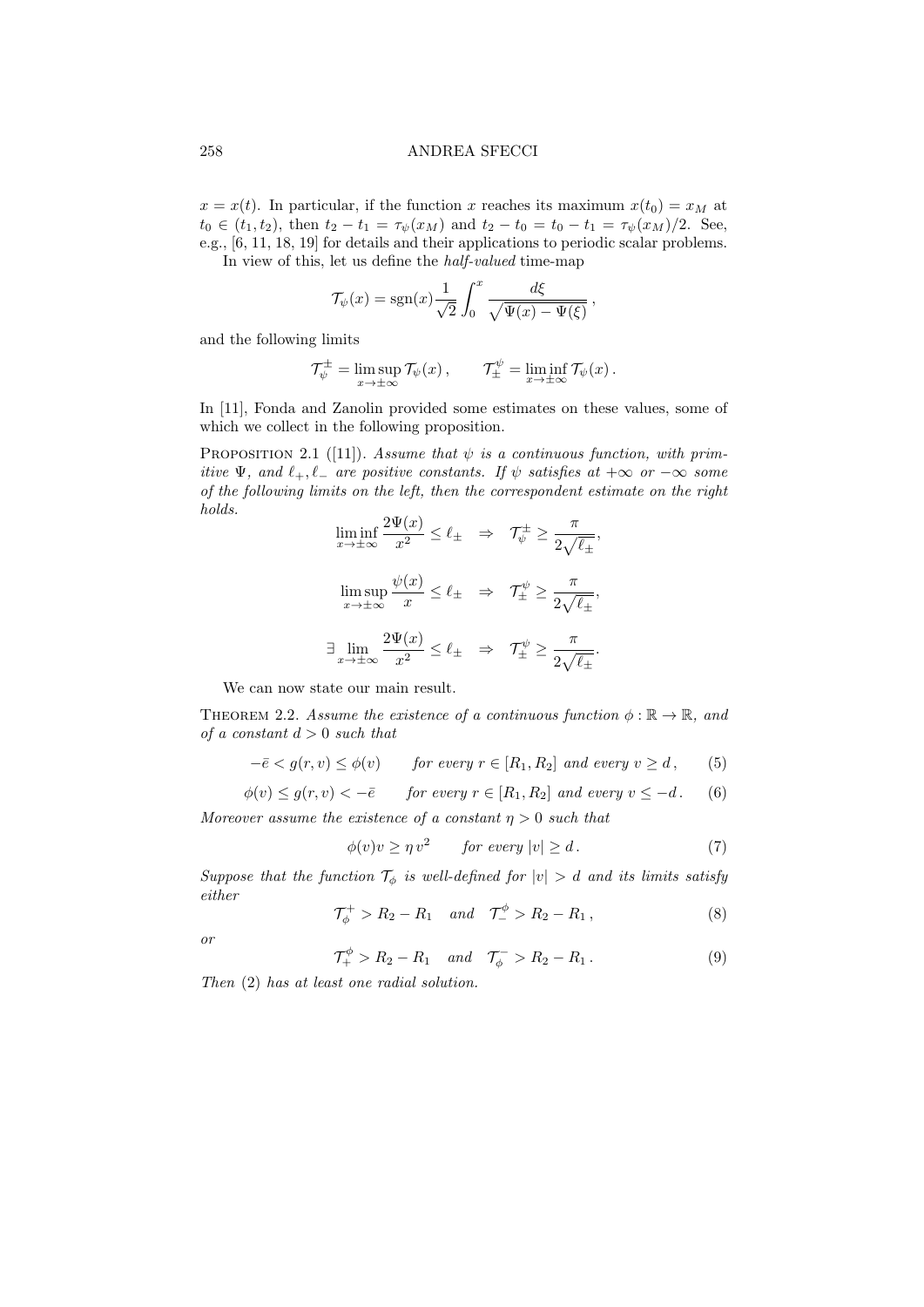$x = x(t)$ . In particular, if the function x reaches its maximum  $x(t_0) = x_M$  at  $t_0 \in (t_1, t_2)$ , then  $t_2 - t_1 = \tau_{\psi}(x_M)$  and  $t_2 - t_0 = t_0 - t_1 = \tau_{\psi}(x_M)/2$ . See, e.g., [6, 11, 18, 19] for details and their applications to periodic scalar problems.

In view of this, let us define the half-valued time-map

$$
\mathcal{T}_{\psi}(x) = \text{sgn}(x) \frac{1}{\sqrt{2}} \int_0^x \frac{d\xi}{\sqrt{\Psi(x) - \Psi(\xi)}},
$$

and the following limits

$$
\mathcal{T}_{\psi}^{\pm} = \limsup_{x \to \pm \infty} \mathcal{T}_{\psi}(x), \qquad \mathcal{T}_{\pm}^{\psi} = \liminf_{x \to \pm \infty} \mathcal{T}_{\psi}(x).
$$

In [11], Fonda and Zanolin provided some estimates on these values, some of which we collect in the following proposition.

PROPOSITION 2.1 ([11]). Assume that  $\psi$  is a continuous function, with primitive  $\Psi$ , and  $\ell_+$ ,  $\ell_-$  are positive constants. If  $\psi$  satisfies at  $+\infty$  or  $-\infty$  some of the following limits on the left, then the correspondent estimate on the right holds.  $2\Pi(\omega)$ 

$$
\liminf_{x \to \pm \infty} \frac{2\Psi(x)}{x^2} \le \ell_{\pm} \quad \Rightarrow \quad \mathcal{T}_{\psi}^{\pm} \ge \frac{\pi}{2\sqrt{\ell_{\pm}}},
$$
\n
$$
\limsup_{x \to \pm \infty} \frac{\psi(x)}{x} \le \ell_{\pm} \quad \Rightarrow \quad \mathcal{T}_{\pm}^{\psi} \ge \frac{\pi}{2\sqrt{\ell_{\pm}}},
$$
\n
$$
\exists \lim_{x \to \pm \infty} \frac{2\Psi(x)}{x^2} \le \ell_{\pm} \quad \Rightarrow \quad \mathcal{T}_{\pm}^{\psi} \ge \frac{\pi}{2\sqrt{\ell_{\pm}}}.
$$

We can now state our main result.

THEOREM 2.2. Assume the existence of a continuous function  $\phi : \mathbb{R} \to \mathbb{R}$ , and of a constant  $d > 0$  such that

$$
-\bar{e} < g(r, v) \le \phi(v) \qquad \text{for every } r \in [R_1, R_2] \text{ and every } v \ge d, \tag{5}
$$

$$
\phi(v) \le g(r, v) < -\bar{e} \qquad \text{for every } r \in [R_1, R_2] \text{ and every } v \le -d. \tag{6}
$$

Moreover assume the existence of a constant  $\eta > 0$  such that

$$
\phi(v)v \ge \eta v^2 \qquad \text{for every } |v| \ge d. \tag{7}
$$

Suppose that the function  $\mathcal{T}_{\phi}$  is well-defined for  $|v| > d$  and its limits satisfy either

$$
\mathcal{T}_{\phi}^{+} > R_{2} - R_{1} \quad \text{and} \quad \mathcal{T}_{-}^{\phi} > R_{2} - R_{1} \,, \tag{8}
$$

or

$$
\mathcal{T}^{\phi}_{+} > R_{2} - R_{1} \quad \text{and} \quad \mathcal{T}^{-}_{\phi} > R_{2} - R_{1} \,. \tag{9}
$$

Then (2) has at least one radial solution.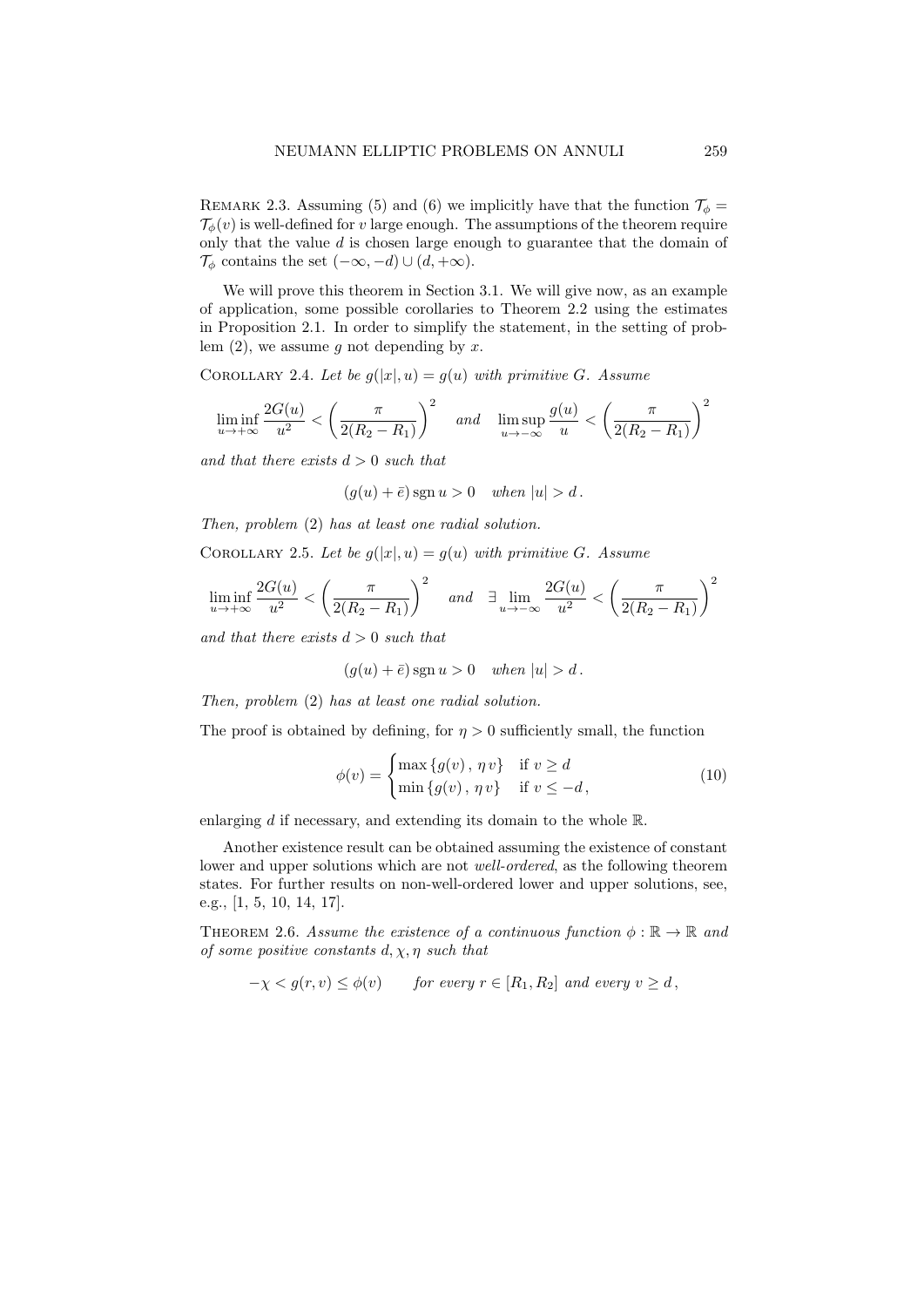REMARK 2.3. Assuming (5) and (6) we implicitly have that the function  $\mathcal{T}_{\phi} =$  $\mathcal{T}_{\phi}(v)$  is well-defined for v large enough. The assumptions of the theorem require only that the value  $d$  is chosen large enough to guarantee that the domain of  $\mathcal{T}_{\phi}$  contains the set  $(-\infty, -d) \cup (d, +\infty)$ .

We will prove this theorem in Section 3.1. We will give now, as an example of application, some possible corollaries to Theorem 2.2 using the estimates in Proposition 2.1. In order to simplify the statement, in the setting of problem  $(2)$ , we assume g not depending by x.

COROLLARY 2.4. Let be  $g(|x|, u) = g(u)$  with primitive G. Assume

$$
\liminf_{u \to +\infty} \frac{2G(u)}{u^2} < \left(\frac{\pi}{2(R_2 - R_1)}\right)^2 \quad \text{and} \quad \limsup_{u \to -\infty} \frac{g(u)}{u} < \left(\frac{\pi}{2(R_2 - R_1)}\right)^2
$$

and that there exists  $d > 0$  such that

 $(g(u) + \overline{e})$  sgn  $u > 0$  when  $|u| > d$ .

Then, problem (2) has at least one radial solution.

COROLLARY 2.5. Let be  $g(|x|, u) = g(u)$  with primitive G. Assume

$$
\liminf_{u \to +\infty} \frac{2G(u)}{u^2} < \left(\frac{\pi}{2(R_2 - R_1)}\right)^2 \quad \text{and} \quad \exists \lim_{u \to -\infty} \frac{2G(u)}{u^2} < \left(\frac{\pi}{2(R_2 - R_1)}\right)^2
$$

and that there exists  $d > 0$  such that

$$
(g(u) + \bar{e})
$$
sgn  $u > 0$  when  $|u| > d$ .

Then, problem (2) has at least one radial solution.

The proof is obtained by defining, for  $\eta > 0$  sufficiently small, the function

$$
\phi(v) = \begin{cases} \max\{g(v), \eta v\} & \text{if } v \ge d \\ \min\{g(v), \eta v\} & \text{if } v \le -d, \end{cases}
$$
\n(10)

enlarging d if necessary, and extending its domain to the whole R.

Another existence result can be obtained assuming the existence of constant lower and upper solutions which are not *well-ordered*, as the following theorem states. For further results on non-well-ordered lower and upper solutions, see, e.g., [1, 5, 10, 14, 17].

THEOREM 2.6. Assume the existence of a continuous function  $\phi : \mathbb{R} \to \mathbb{R}$  and of some positive constants  $d, \chi, \eta$  such that

$$
-\chi < g(r, v) \le \phi(v) \quad for \ every \ r \in [R_1, R_2] \ and \ every \ v \ge d,
$$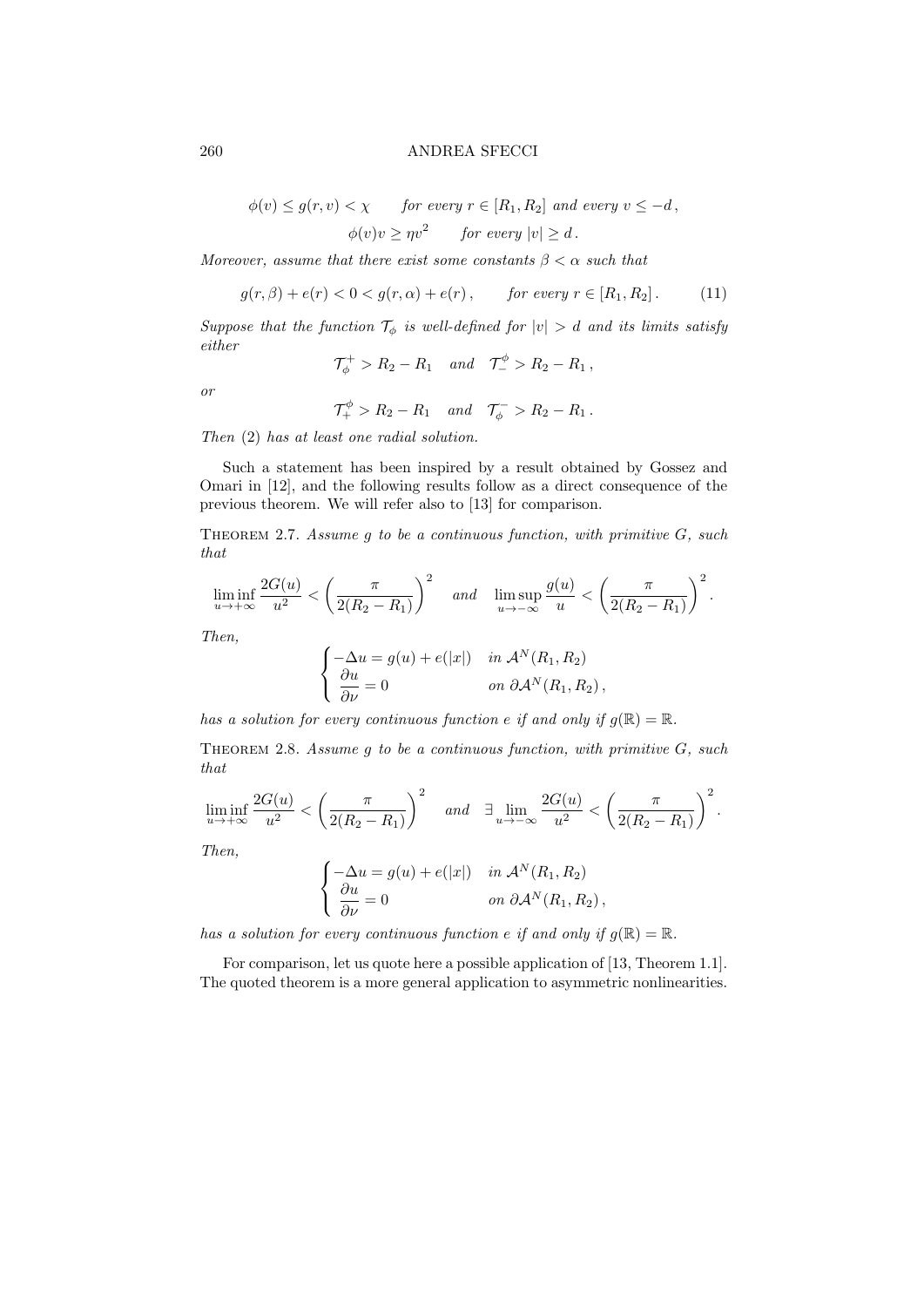$$
\phi(v) \le g(r, v) < \chi \qquad \text{for every } r \in [R_1, R_2] \text{ and every } v \le -d,
$$
\n
$$
\phi(v)v \ge \eta v^2 \qquad \text{for every } |v| \ge d.
$$

Moreover, assume that there exist some constants  $\beta < \alpha$  such that

$$
g(r, \beta) + e(r) < 0 < g(r, \alpha) + e(r)
$$
, for every  $r \in [R_1, R_2]$ . (11)

Suppose that the function  $\mathcal{T}_{\phi}$  is well-defined for  $|v| > d$  and its limits satisfy either

$$
\mathcal{T}_{\phi}^{+} > R_{2} - R_{1} \quad and \quad \mathcal{T}_{-}^{\phi} > R_{2} - R_{1} ,
$$

or

$$
\mathcal{T}^{\phi}_+ > R_2 - R_1 \quad and \quad \mathcal{T}^-_{\phi} > R_2 - R_1.
$$

Then (2) has at least one radial solution.

Such a statement has been inspired by a result obtained by Gossez and Omari in [12], and the following results follow as a direct consequence of the previous theorem. We will refer also to [13] for comparison.

THEOREM 2.7. Assume g to be a continuous function, with primitive  $G$ , such that

$$
\liminf_{u \to +\infty} \frac{2G(u)}{u^2} < \left(\frac{\pi}{2(R_2 - R_1)}\right)^2 \quad \text{and} \quad \limsup_{u \to -\infty} \frac{g(u)}{u} < \left(\frac{\pi}{2(R_2 - R_1)}\right)^2.
$$

Then,

$$
\begin{cases}\n-\Delta u = g(u) + e(|x|) & \text{in } \mathcal{A}^N(R_1, R_2) \\
\frac{\partial u}{\partial \nu} = 0 & \text{on } \partial \mathcal{A}^N(R_1, R_2),\n\end{cases}
$$

has a solution for every continuous function e if and only if  $g(\mathbb{R}) = \mathbb{R}$ .

THEOREM 2.8. Assume q to be a continuous function, with primitive  $G$ , such that

$$
\liminf_{u \to +\infty} \frac{2G(u)}{u^2} < \left(\frac{\pi}{2(R_2 - R_1)}\right)^2 \quad \text{and} \quad \exists \lim_{u \to -\infty} \frac{2G(u)}{u^2} < \left(\frac{\pi}{2(R_2 - R_1)}\right)^2.
$$

Then,

$$
\begin{cases}\n-\Delta u = g(u) + e(|x|) & \text{in } \mathcal{A}^N(R_1, R_2) \\
\frac{\partial u}{\partial \nu} = 0 & \text{on } \partial \mathcal{A}^N(R_1, R_2)\n\end{cases}
$$

has a solution for every continuous function e if and only if  $g(\mathbb{R}) = \mathbb{R}$ .

For comparison, let us quote here a possible application of [13, Theorem 1.1]. The quoted theorem is a more general application to asymmetric nonlinearities.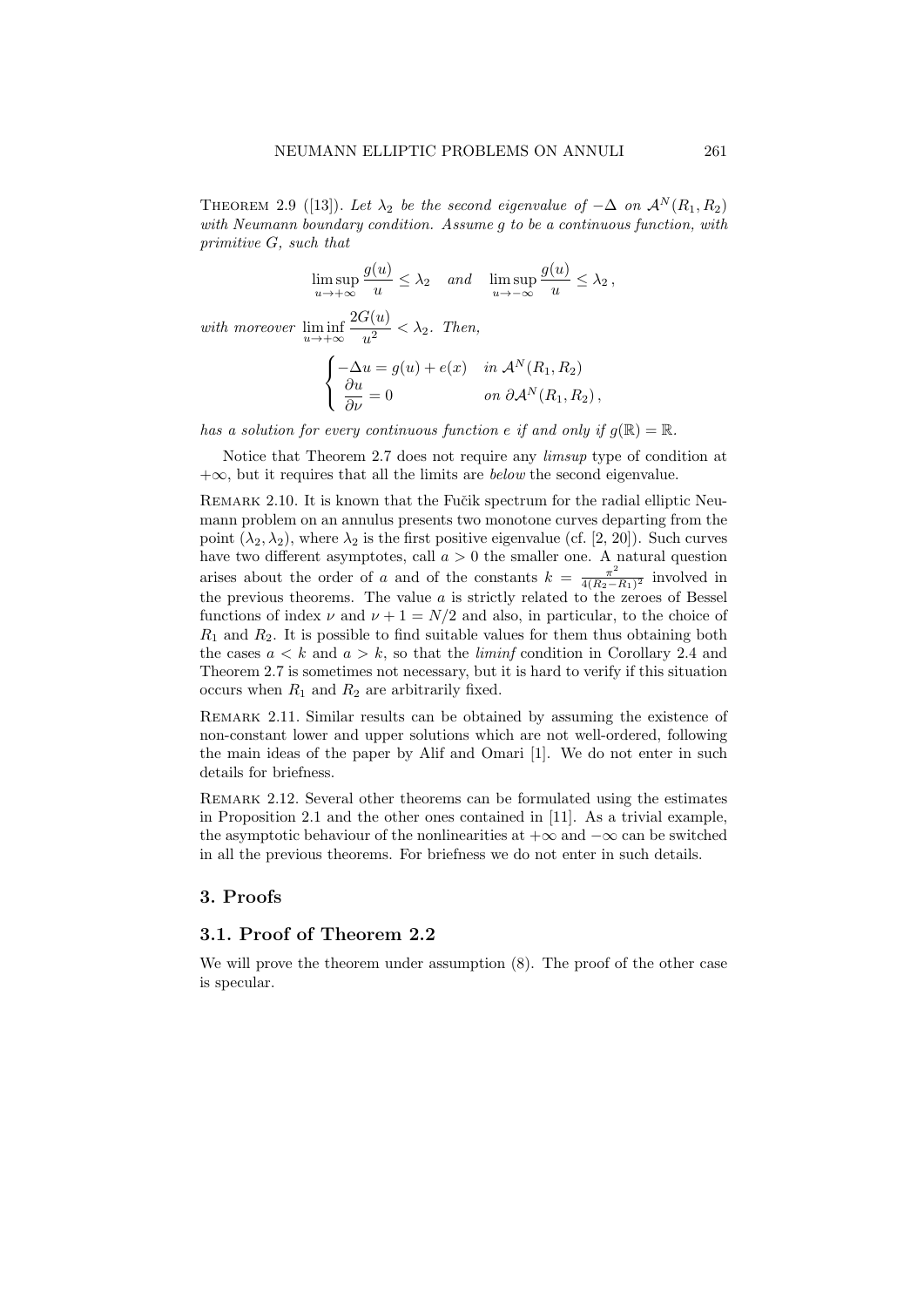THEOREM 2.9 ([13]). Let  $\lambda_2$  be the second eigenvalue of  $-\Delta$  on  $\mathcal{A}^N(R_1, R_2)$ with Neumann boundary condition. Assume g to be a continuous function, with primitive G, such that

> $\limsup_{u\to+\infty}$  $g(u)$  $\frac{du}{u} \leq \lambda_2$  and  $\limsup_{u \to -\infty}$  $g(u)$  $\frac{u}{u} \leq \lambda_2$

with moreover  $\liminf_{u \to +\infty}$  $2G(u)$  $\frac{\partial u}{\partial u^2} < \lambda_2$ . Then,

$$
\begin{cases}\n-\Delta u = g(u) + e(x) & \text{in } \mathcal{A}^N(R_1, R_2) \\
\frac{\partial u}{\partial \nu} = 0 & \text{on } \partial \mathcal{A}^N(R_1, R_2),\n\end{cases}
$$

has a solution for every continuous function e if and only if  $g(\mathbb{R}) = \mathbb{R}$ .

Notice that Theorem 2.7 does not require any limsup type of condition at  $+\infty$ , but it requires that all the limits are *below* the second eigenvalue.

REMARK 2.10. It is known that the Fučik spectrum for the radial elliptic Neumann problem on an annulus presents two monotone curves departing from the point  $(\lambda_2, \lambda_2)$ , where  $\lambda_2$  is the first positive eigenvalue (cf. [2, 20]). Such curves have two different asymptotes, call  $a > 0$  the smaller one. A natural question arises about the order of a and of the constants  $k = \frac{\pi^2}{4(R_0 - 1)}$  $\frac{\pi^2}{4(R_2-R_1)^2}$  involved in the previous theorems. The value  $a$  is strictly related to the zeroes of Bessel functions of index  $\nu$  and  $\nu + 1 = N/2$  and also, in particular, to the choice of  $R_1$  and  $R_2$ . It is possible to find suitable values for them thus obtaining both the cases  $a < k$  and  $a > k$ , so that the *liminf* condition in Corollary 2.4 and Theorem 2.7 is sometimes not necessary, but it is hard to verify if this situation occurs when  $R_1$  and  $R_2$  are arbitrarily fixed.

Remark 2.11. Similar results can be obtained by assuming the existence of non-constant lower and upper solutions which are not well-ordered, following the main ideas of the paper by Alif and Omari [1]. We do not enter in such details for briefness.

Remark 2.12. Several other theorems can be formulated using the estimates in Proposition 2.1 and the other ones contained in [11]. As a trivial example, the asymptotic behaviour of the nonlinearities at  $+\infty$  and  $-\infty$  can be switched in all the previous theorems. For briefness we do not enter in such details.

## 3. Proofs

# 3.1. Proof of Theorem 2.2

We will prove the theorem under assumption  $(8)$ . The proof of the other case is specular.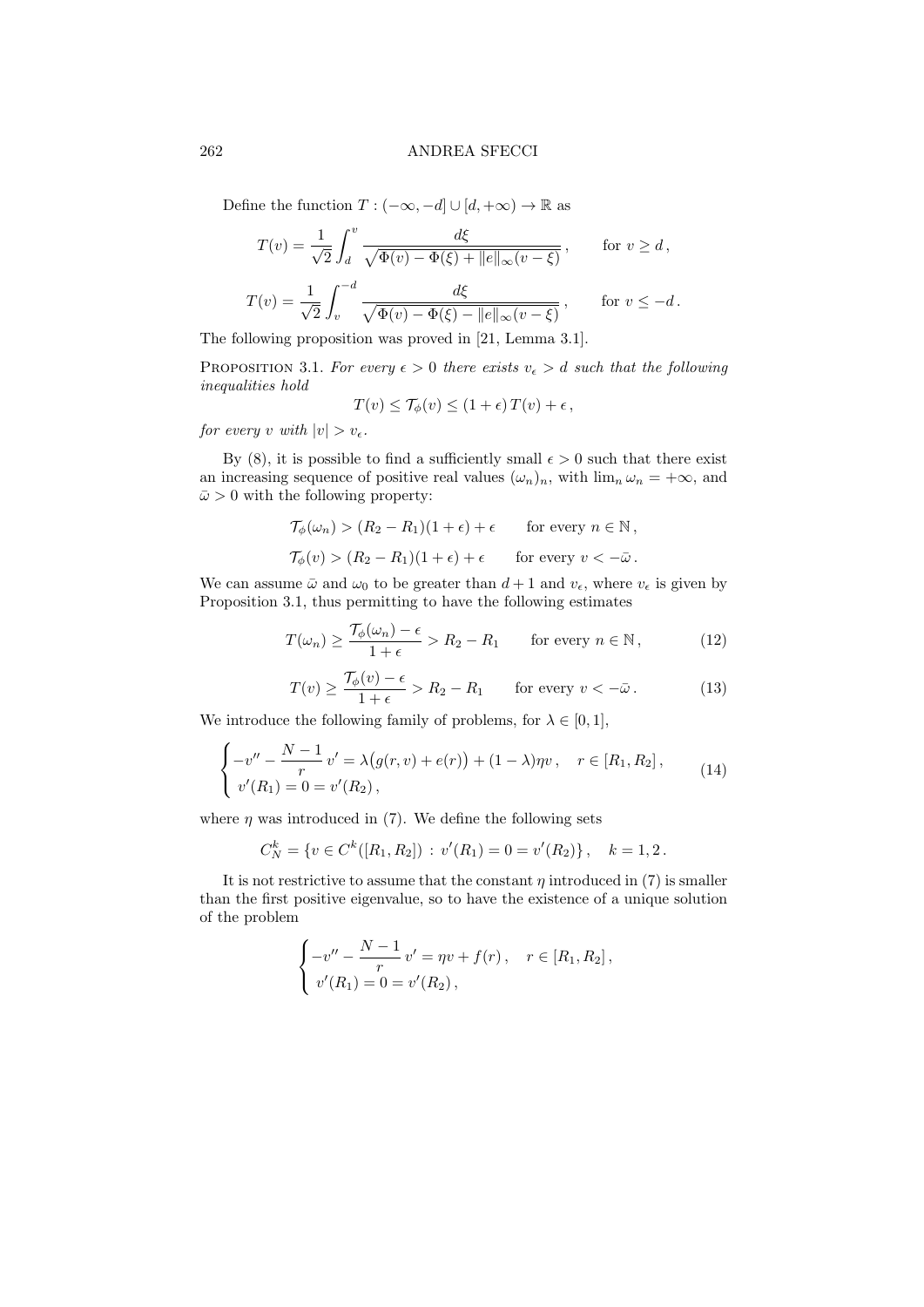Define the function  $T: (-\infty, -d] \cup [d, +\infty) \to \mathbb{R}$  as

$$
T(v) = \frac{1}{\sqrt{2}} \int_{d}^{v} \frac{d\xi}{\sqrt{\Phi(v) - \Phi(\xi) + ||e||_{\infty}(v - \xi)}}, \quad \text{for } v \ge d,
$$
  

$$
T(v) = \frac{1}{\sqrt{2}} \int_{v}^{-d} \frac{d\xi}{\sqrt{\Phi(v) - \Phi(\xi) - ||e||_{\infty}(v - \xi)}}, \quad \text{for } v \le -d.
$$

The following proposition was proved in [21, Lemma 3.1].

PROPOSITION 3.1. For every  $\epsilon > 0$  there exists  $v_{\epsilon} > d$  such that the following inequalities hold

$$
T(v) \leq \mathcal{T}_{\phi}(v) \leq (1+\epsilon) T(v) + \epsilon,
$$

for every v with  $|v| > v_{\epsilon}$ .

By (8), it is possible to find a sufficiently small  $\epsilon > 0$  such that there exist an increasing sequence of positive real values  $(\omega_n)_n$ , with  $\lim_n \omega_n = +\infty$ , and  $\bar{\omega} > 0$  with the following property:

$$
\mathcal{T}_{\phi}(\omega_n) > (R_2 - R_1)(1 + \epsilon) + \epsilon \quad \text{for every } n \in \mathbb{N},
$$
  

$$
\mathcal{T}_{\phi}(v) > (R_2 - R_1)(1 + \epsilon) + \epsilon \quad \text{for every } v < -\bar{\omega}.
$$

We can assume  $\bar{\omega}$  and  $\omega_0$  to be greater than  $d+1$  and  $v_{\epsilon}$ , where  $v_{\epsilon}$  is given by Proposition 3.1, thus permitting to have the following estimates

$$
T(\omega_n) \ge \frac{\mathcal{T}_{\phi}(\omega_n) - \epsilon}{1 + \epsilon} > R_2 - R_1 \quad \text{for every } n \in \mathbb{N},
$$
 (12)

$$
T(v) \ge \frac{\mathcal{T}_{\phi}(v) - \epsilon}{1 + \epsilon} > R_2 - R_1 \quad \text{for every } v < -\bar{\omega}.
$$
 (13)

We introduce the following family of problems, for  $\lambda \in [0,1]$ ,

$$
\begin{cases}\n-v'' - \frac{N-1}{r}v' = \lambda(g(r, v) + e(r)) + (1 - \lambda)\eta v, & r \in [R_1, R_2], \\
v'(R_1) = 0 = v'(R_2),\n\end{cases}
$$
\n(14)

where  $\eta$  was introduced in (7). We define the following sets

$$
C_N^k = \{ v \in C^k([R_1, R_2]) : v'(R_1) = 0 = v'(R_2) \}, \quad k = 1, 2.
$$

It is not restrictive to assume that the constant  $\eta$  introduced in (7) is smaller than the first positive eigenvalue, so to have the existence of a unique solution of the problem

$$
\begin{cases}\n-v'' - \frac{N-1}{r}v' = \eta v + f(r), & r \in [R_1, R_2], \\
v'(R_1) = 0 = v'(R_2),\n\end{cases}
$$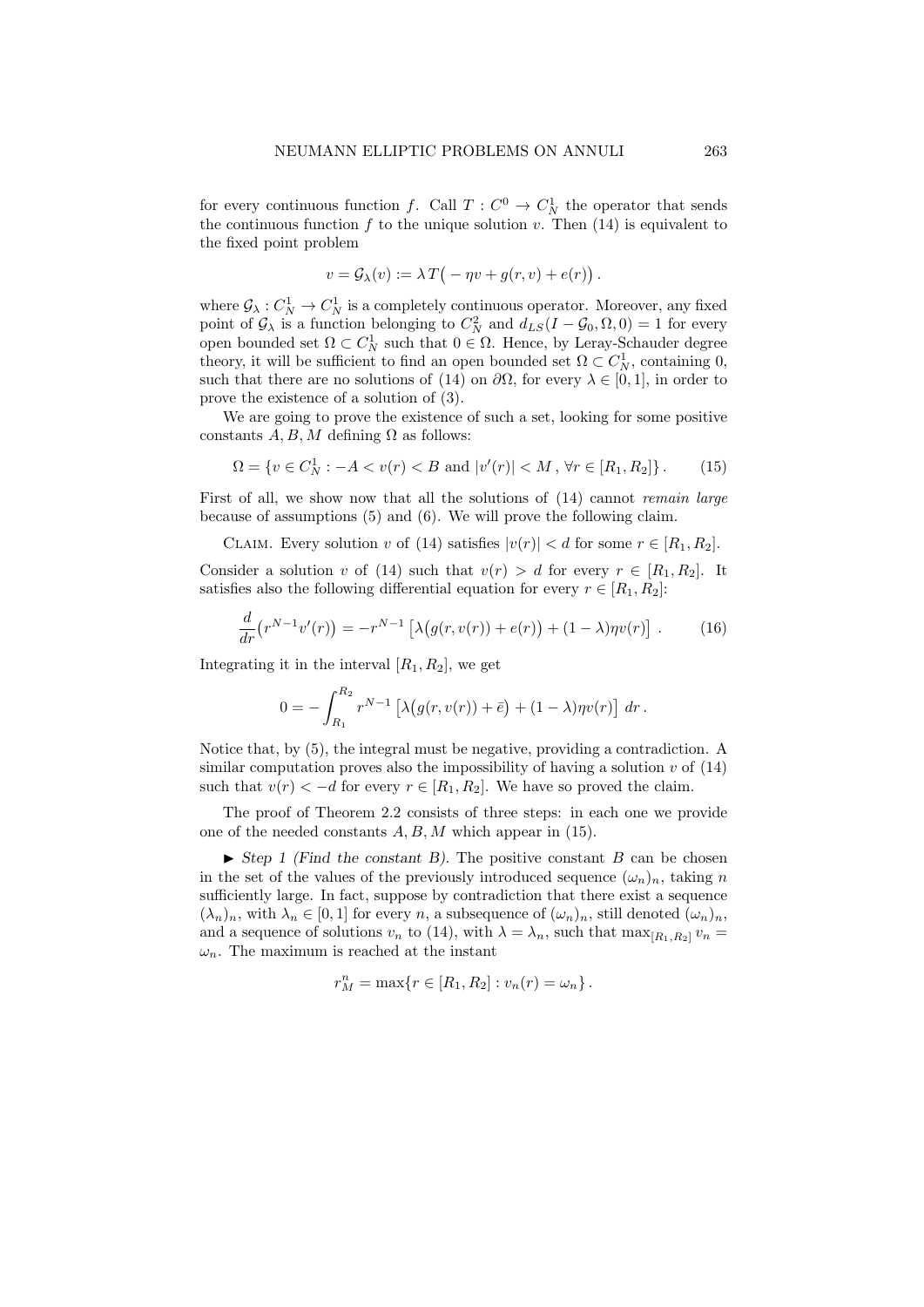for every continuous function f. Call  $T: C^0 \to C^1_N$  the operator that sends the continuous function  $f$  to the unique solution  $v$ . Then (14) is equivalent to the fixed point problem

$$
v = \mathcal{G}_{\lambda}(v) := \lambda T(-\eta v + g(r, v) + e(r)).
$$

where  $\mathcal{G}_{\lambda}: C^1_N \to C^1_N$  is a completely continuous operator. Moreover, any fixed point of  $\mathcal{G}_{\lambda}$  is a function belonging to  $C_N^2$  and  $d_{LS}(I - \mathcal{G}_0, \Omega, 0) = 1$  for every open bounded set  $\Omega \subset C_N^1$  such that  $0 \in \Omega$ . Hence, by Leray-Schauder degree theory, it will be sufficient to find an open bounded set  $\Omega \subset C_N^1$ , containing 0, such that there are no solutions of (14) on  $\partial\Omega$ , for every  $\lambda \in [0,1]$ , in order to prove the existence of a solution of (3).

We are going to prove the existence of such a set, looking for some positive constants A, B, M defining  $\Omega$  as follows:

$$
\Omega = \{ v \in C_N^1 : -A < v(r) < B \text{ and } |v'(r)| < M \text{, } \forall r \in [R_1, R_2] \}. \tag{15}
$$

First of all, we show now that all the solutions of  $(14)$  cannot *remain large* because of assumptions (5) and (6). We will prove the following claim.

CLAIM. Every solution v of (14) satisfies  $|v(r)| < d$  for some  $r \in [R_1, R_2]$ .

Consider a solution v of (14) such that  $v(r) > d$  for every  $r \in [R_1, R_2]$ . It satisfies also the following differential equation for every  $r \in [R_1, R_2]$ :

$$
\frac{d}{dr}\left(r^{N-1}v'(r)\right) = -r^{N-1}\left[\lambda\big(g(r,v(r)) + e(r)\big) + (1-\lambda)\eta v(r)\right].\tag{16}
$$

Integrating it in the interval  $[R_1, R_2]$ , we get

$$
0 = -\int_{R_1}^{R_2} r^{N-1} \left[ \lambda \big( g(r, v(r)) + \bar{e} \big) + (1 - \lambda) \eta v(r) \right] dr.
$$

Notice that, by (5), the integral must be negative, providing a contradiction. A similar computation proves also the impossibility of having a solution  $v$  of  $(14)$ such that  $v(r) < -d$  for every  $r \in [R_1, R_2]$ . We have so proved the claim.

The proof of Theorem 2.2 consists of three steps: in each one we provide one of the needed constants A, B, M which appear in (15).

 $\triangleright$  Step 1 (Find the constant B). The positive constant B can be chosen in the set of the values of the previously introduced sequence  $(\omega_n)_n$ , taking n sufficiently large. In fact, suppose by contradiction that there exist a sequence  $(\lambda_n)_n$ , with  $\lambda_n \in [0,1]$  for every n, a subsequence of  $(\omega_n)_n$ , still denoted  $(\omega_n)_n$ , and a sequence of solutions  $v_n$  to (14), with  $\lambda = \lambda_n$ , such that  $\max_{[R_1,R_2]} v_n =$  $\omega_n$ . The maximum is reached at the instant

$$
r_M^n = \max\{r \in [R_1, R_2] : v_n(r) = \omega_n\}.
$$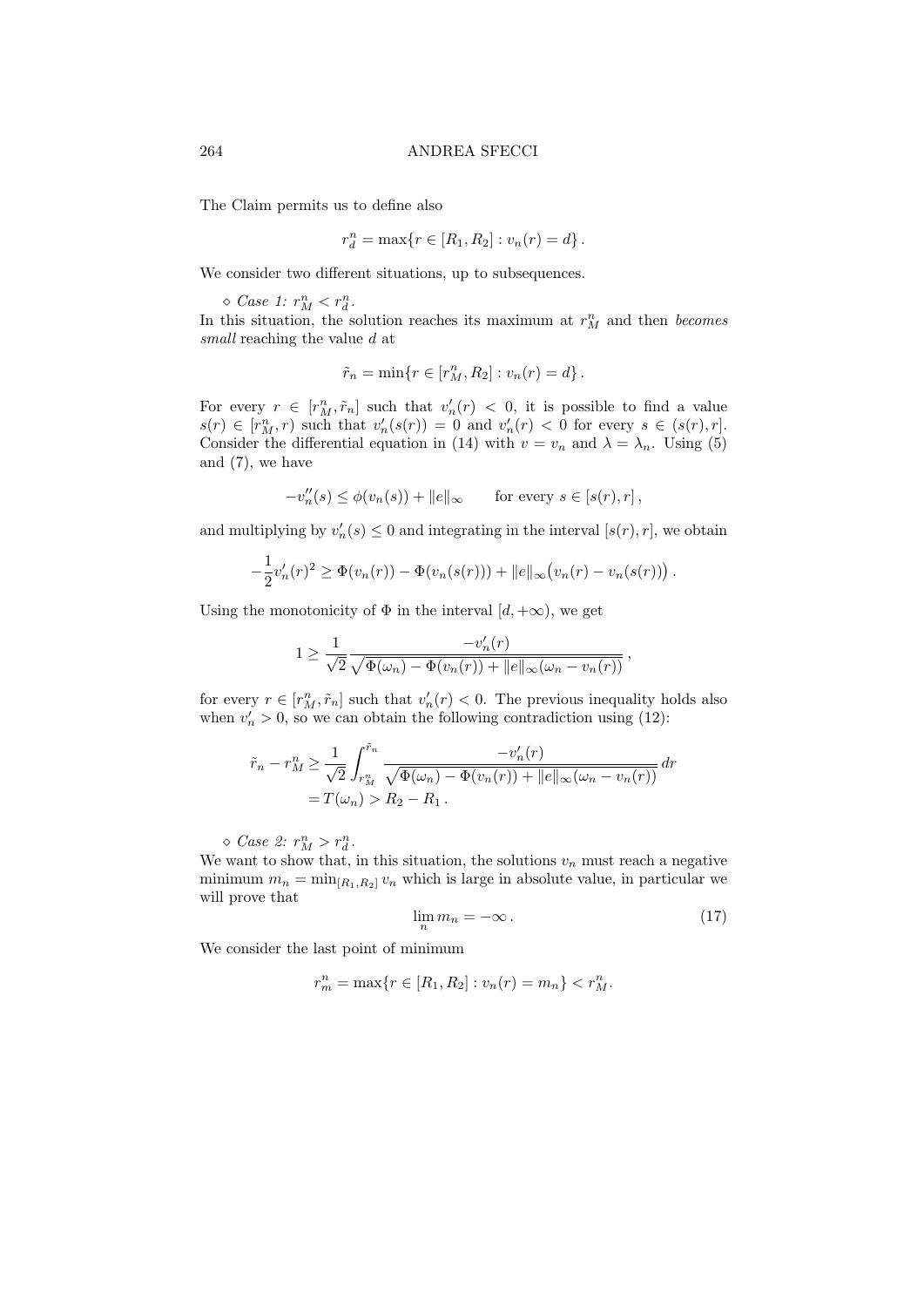The Claim permits us to define also

$$
r_d^n = \max\{r \in [R_1, R_2] : v_n(r) = d\}.
$$

We consider two different situations, up to subsequences.

 $\Diamond$  Case 1:  $r_M^n < r_d^n$ . In this situation, the solution reaches its maximum at  $r_M^n$  and then *becomes* small reaching the value d at

$$
\tilde{r}_n = \min\{r \in [r_M^n, R_2] : v_n(r) = d\}.
$$

For every  $r \in [r_M^n, \tilde{r}_n]$  such that  $v'_n(r) < 0$ , it is possible to find a value  $s(r) \in [r_M^n, r)$  such that  $v'_n(s(r)) = 0$  and  $v'_n(r) < 0$  for every  $s \in (s(r), r]$ . Consider the differential equation in (14) with  $v = v_n$  and  $\lambda = \lambda_n$ . Using (5) and  $(7)$ , we have

$$
-v_n''(s) \le \phi(v_n(s)) + ||e||_{\infty} \quad \text{for every } s \in [s(r), r],
$$

and multiplying by  $v'_n(s) \leq 0$  and integrating in the interval  $[s(r), r]$ , we obtain

$$
-\frac{1}{2}v'_n(r)^2 \ge \Phi(v_n(r)) - \Phi(v_n(s(r))) + ||e||_{\infty} (v_n(r) - v_n(s(r))).
$$

Using the monotonicity of  $\Phi$  in the interval  $[d, +\infty)$ , we get

$$
1 \ge \frac{1}{\sqrt{2}} \frac{-v'_n(r)}{\sqrt{\Phi(\omega_n) - \Phi(v_n(r)) + ||e||_{\infty}(\omega_n - v_n(r))}},
$$

for every  $r \in [r_M^n, \tilde{r}_n]$  such that  $v'_n(r) < 0$ . The previous inequality holds also when  $v'_n > 0$ , so we can obtain the following contradiction using (12):

$$
\tilde{r}_n - r_M^n \ge \frac{1}{\sqrt{2}} \int_{r_M^n}^{\tilde{r}_n} \frac{-v_n'(r)}{\sqrt{\Phi(\omega_n) - \Phi(v_n(r)) + ||e||_{\infty}(\omega_n - v_n(r))}} dr
$$
  
=  $T(\omega_n) > R_2 - R_1$ .

 $\Diamond$  Case 2:  $r_M^n > r_d^n$ .

We want to show that, in this situation, the solutions  $v_n$  must reach a negative minimum  $m_n = \min_{[R_1,R_2]} v_n$  which is large in absolute value, in particular we will prove that

$$
\lim_{n} m_n = -\infty. \tag{17}
$$

We consider the last point of minimum

$$
r_m^n = \max\{r \in [R_1, R_2] : v_n(r) = m_n\} < r_M^n.
$$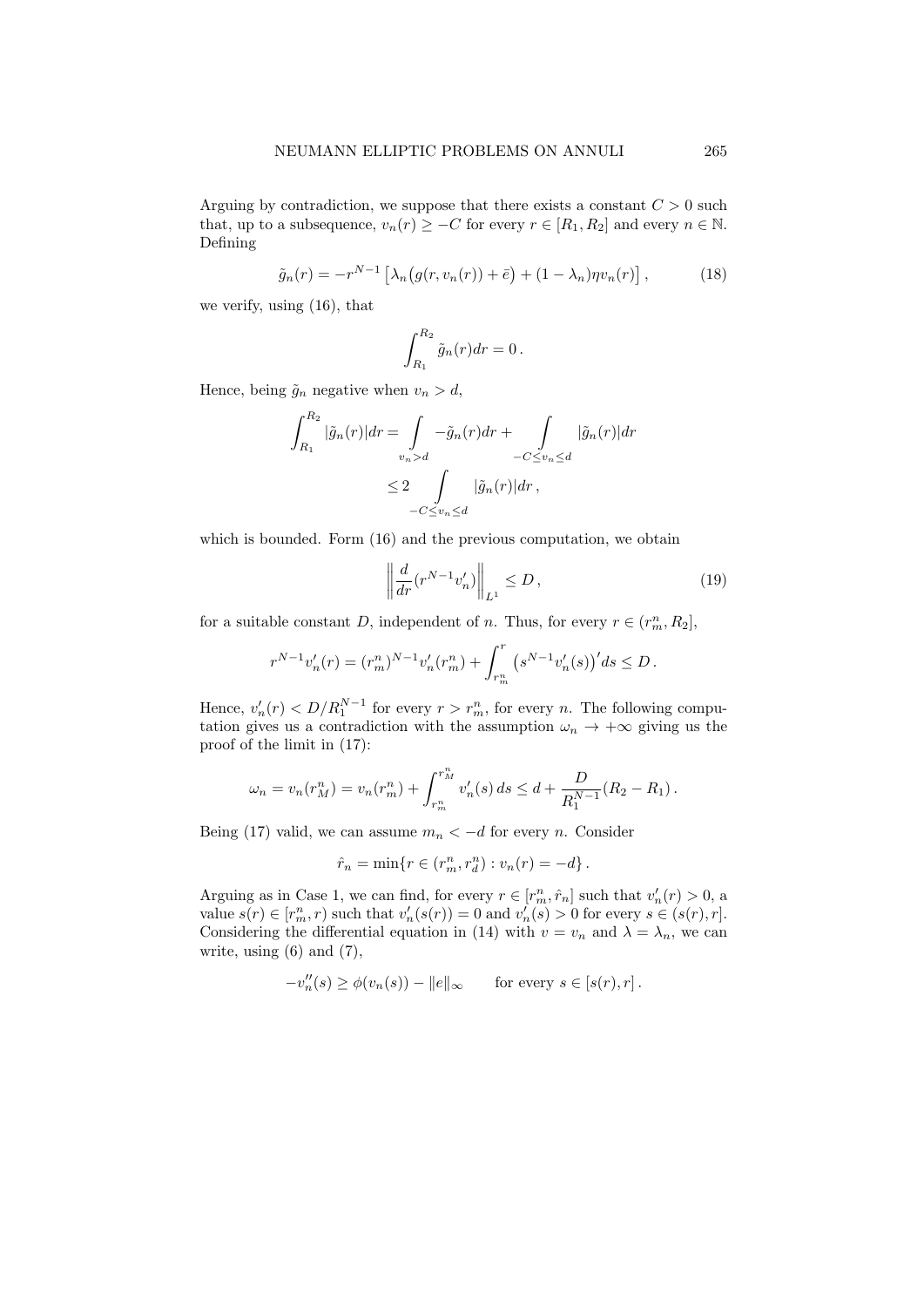Arguing by contradiction, we suppose that there exists a constant  $C > 0$  such that, up to a subsequence,  $v_n(r) \geq -C$  for every  $r \in [R_1, R_2]$  and every  $n \in \mathbb{N}$ . Defining

$$
\tilde{g}_n(r) = -r^{N-1} \left[ \lambda_n \big( g(r, v_n(r)) + \bar{e} \big) + (1 - \lambda_n) \eta v_n(r) \right],\tag{18}
$$

we verify, using (16), that

$$
\int_{R_1}^{R_2} \tilde{g}_n(r) dr = 0.
$$

Hence, being  $\tilde{g}_n$  negative when  $v_n > d$ ,

$$
\int_{R_1}^{R_2} |\tilde{g}_n(r)| dr = \int_{v_n > d} -\tilde{g}_n(r) dr + \int_{-C \le v_n \le d} |\tilde{g}_n(r)| dr
$$
  

$$
\le 2 \int_{-C \le v_n \le d} |\tilde{g}_n(r)| dr,
$$

which is bounded. Form (16) and the previous computation, we obtain

$$
\left\| \frac{d}{dr} (r^{N-1} v_n') \right\|_{L^1} \le D \,, \tag{19}
$$

for a suitable constant D, independent of n. Thus, for every  $r \in (r_m^n, R_2]$ ,

$$
r^{N-1}v_n'(r) = (r_m^n)^{N-1}v_n'(r_m^n) + \int_{r_m^n}^r (s^{N-1}v_n'(s))'ds \le D.
$$

Hence,  $v'_n(r) < D/R_1^{N-1}$  for every  $r > r_m^n$ , for every n. The following computation gives us a contradiction with the assumption  $\omega_n \to +\infty$  giving us the proof of the limit in (17):

$$
\omega_n = v_n(r_M^n) = v_n(r_m^n) + \int_{r_m^n}^{r_M^n} v_n'(s) ds \le d + \frac{D}{R_1^{N-1}}(R_2 - R_1).
$$

Being (17) valid, we can assume  $m_n < -d$  for every n. Consider

$$
\hat{r}_n = \min\{r \in (r_m^n, r_d^n) : v_n(r) = -d\}.
$$

Arguing as in Case 1, we can find, for every  $r \in [r_m^n, \hat{r}_n]$  such that  $v'_n(r) > 0$ , a value  $s(r) \in [r_m^n, r)$  such that  $v'_n(s(r)) = 0$  and  $v'_n(s) > 0$  for every  $s \in (s(r), r]$ . Considering the differential equation in (14) with  $v = v_n$  and  $\lambda = \lambda_n$ , we can write, using  $(6)$  and  $(7)$ ,

$$
-v_n''(s) \ge \phi(v_n(s)) - ||e||_{\infty} \quad \text{for every } s \in [s(r), r].
$$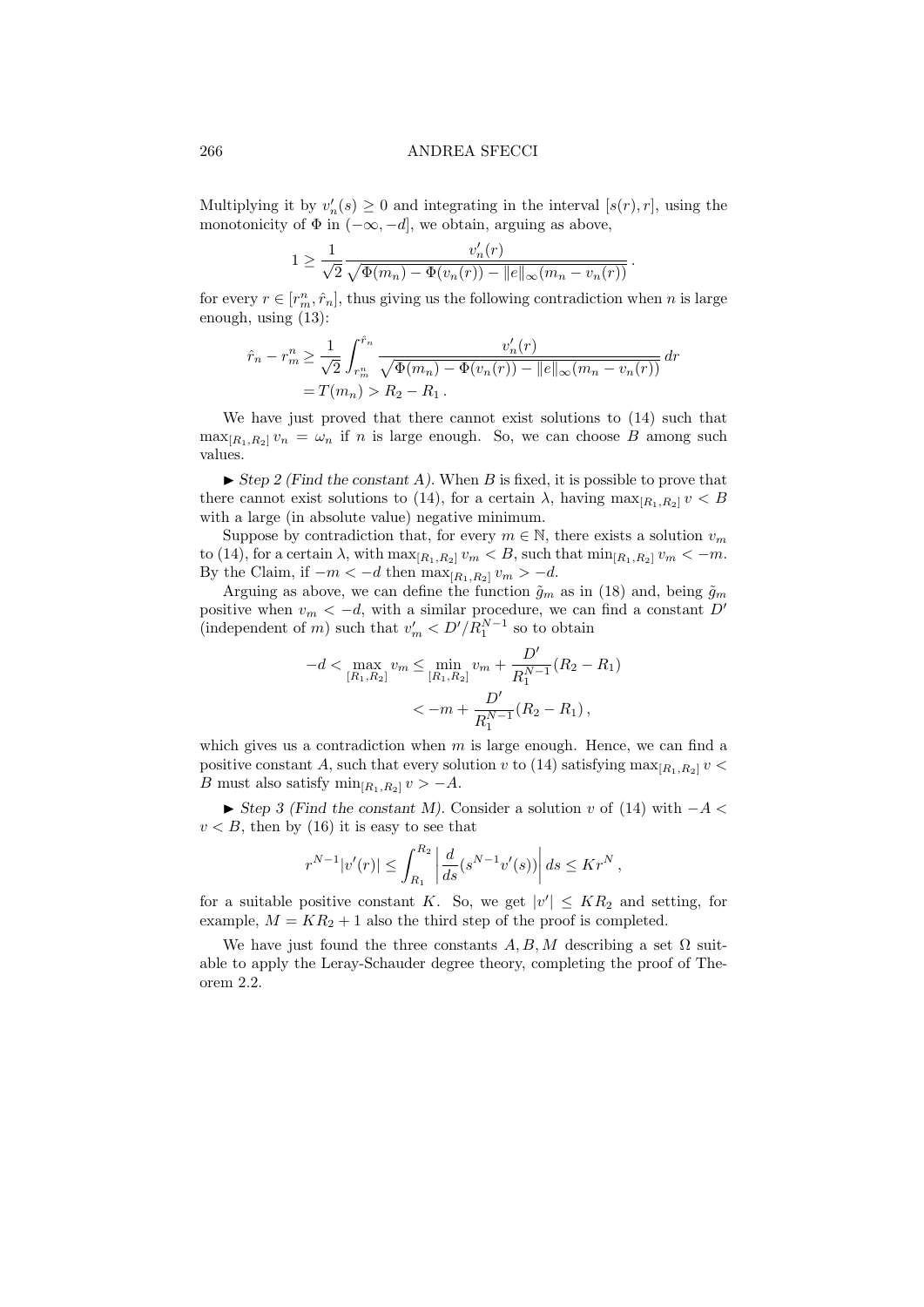Multiplying it by  $v'_n(s) \geq 0$  and integrating in the interval  $[s(r), r]$ , using the monotonicity of  $\Phi$  in  $(-\infty, -d]$ , we obtain, arguing as above,

$$
1 \ge \frac{1}{\sqrt{2}} \frac{v'_n(r)}{\sqrt{\Phi(m_n) - \Phi(v_n(r)) - ||e||_{\infty}(m_n - v_n(r))}}.
$$

for every  $r \in [r_m^n, \hat{r}_n]$ , thus giving us the following contradiction when n is large enough, using (13):

$$
\hat{r}_n - r_m^n \ge \frac{1}{\sqrt{2}} \int_{r_m^n}^{\hat{r}_n} \frac{v_n'(r)}{\sqrt{\Phi(m_n) - \Phi(v_n(r)) - ||e||_{\infty}(m_n - v_n(r))}} dr
$$
  
=  $T(m_n) > R_2 - R_1$ .

We have just proved that there cannot exist solutions to  $(14)$  such that  $\max_{[R_1,R_2]} v_n = \omega_n$  if n is large enough. So, we can choose B among such values.

 $\triangleright$  Step 2 (Find the constant A). When B is fixed, it is possible to prove that there cannot exist solutions to (14), for a certain  $\lambda$ , having  $\max_{[R_1,R_2]} v < B$ with a large (in absolute value) negative minimum.

Suppose by contradiction that, for every  $m \in \mathbb{N}$ , there exists a solution  $v_m$ to (14), for a certain  $\lambda$ , with  $\max_{[R_1,R_2]} v_m < B$ , such that  $\min_{[R_1,R_2]} v_m < -m$ . By the Claim, if  $-m < -d$  then  $\max_{[R_1,R_2]} v_m > -d$ .

Arguing as above, we can define the function  $\tilde{g}_m$  as in (18) and, being  $\tilde{g}_m$ positive when  $v_m < -d$ , with a similar procedure, we can find a constant D' (independent of m) such that  $v'_m < D'/R_1^{N-1}$  so to obtain

$$
-d < \max_{[R_1, R_2]} v_m \le \min_{[R_1, R_2]} v_m + \frac{D'}{R_1^{N-1}} (R_2 - R_1)
$$
  

$$
< -m + \frac{D'}{R_1^{N-1}} (R_2 - R_1),
$$

which gives us a contradiction when  $m$  is large enough. Hence, we can find a positive constant A, such that every solution v to (14) satisfying  $\max_{[R_1,R_2]} v$  < B must also satisfy  $\min_{[R_1,R_2]} v > -A$ .

 $\blacktriangleright$  Step 3 (Find the constant M). Consider a solution v of (14) with  $-A <$  $v < B$ , then by (16) it is easy to see that

$$
r^{N-1}|v'(r)| \leq \int_{R_1}^{R_2} \left| \frac{d}{ds}(s^{N-1}v'(s)) \right| ds \leq K r^N,
$$

for a suitable positive constant K. So, we get  $|v'| \leq KR_2$  and setting, for example,  $M = KR_2 + 1$  also the third step of the proof is completed.

We have just found the three constants  $A, B, M$  describing a set  $\Omega$  suitable to apply the Leray-Schauder degree theory, completing the proof of Theorem 2.2.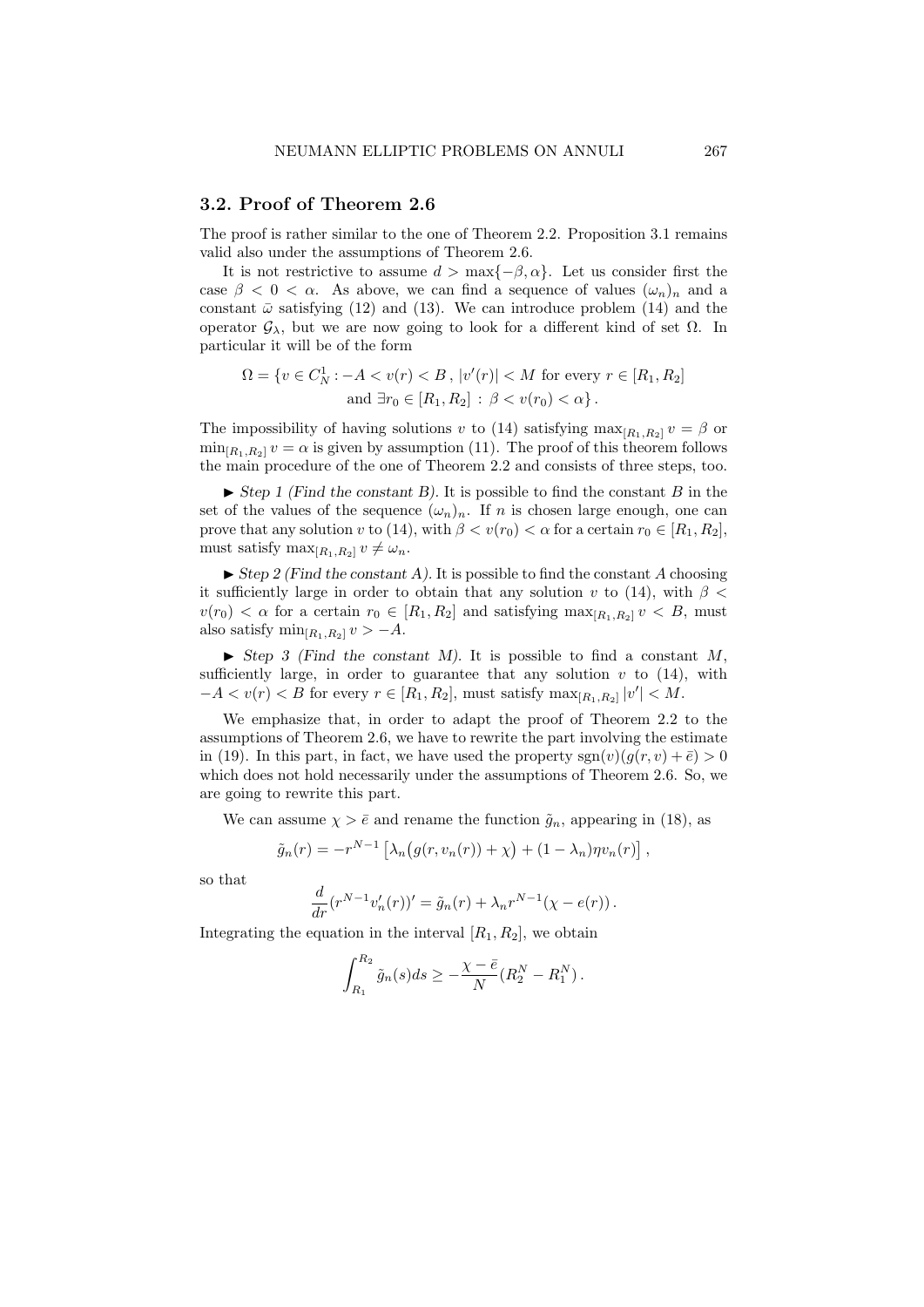## 3.2. Proof of Theorem 2.6

The proof is rather similar to the one of Theorem 2.2. Proposition 3.1 remains valid also under the assumptions of Theorem 2.6.

It is not restrictive to assume  $d > \max\{-\beta, \alpha\}$ . Let us consider first the case  $\beta < 0 < \alpha$ . As above, we can find a sequence of values  $(\omega_n)_n$  and a constant  $\bar{\omega}$  satisfying (12) and (13). We can introduce problem (14) and the operator  $\mathcal{G}_{\lambda}$ , but we are now going to look for a different kind of set  $\Omega$ . In particular it will be of the form

$$
\Omega = \{ v \in C_N^1 : -A < v(r) < B \, , \, |v'(r)| < M \text{ for every } r \in [R_1, R_2] \text{ and } \exists r_0 \in [R_1, R_2] : \beta < v(r_0) < \alpha \} \, .
$$

The impossibility of having solutions v to (14) satisfying  $\max_{[R_1,R_2]} v = \beta$  or  $\min_{[R_1,R_2]} v = \alpha$  is given by assumption (11). The proof of this theorem follows the main procedure of the one of Theorem 2.2 and consists of three steps, too.

 $\triangleright$  Step 1 (Find the constant B). It is possible to find the constant B in the set of the values of the sequence  $(\omega_n)_n$ . If n is chosen large enough, one can prove that any solution v to (14), with  $\beta < v(r_0) < \alpha$  for a certain  $r_0 \in [R_1, R_2]$ , must satisfy  $\max_{[R_1,R_2]} v \neq \omega_n$ .

 $\triangleright$  Step 2 (Find the constant A). It is possible to find the constant A choosing it sufficiently large in order to obtain that any solution v to (14), with  $\beta$  <  $v(r_0) < \alpha$  for a certain  $r_0 \in [R_1, R_2]$  and satisfying  $\max_{[R_1, R_2]} v < B$ , must also satisfy  $\min_{[R_1,R_2]} v > -A$ .

 $\blacktriangleright$  Step 3 (Find the constant M). It is possible to find a constant M, sufficiently large, in order to guarantee that any solution  $v$  to (14), with  $-A < v(r) < B$  for every  $r \in [R_1, R_2]$ , must satisfy  $\max_{[R_1, R_2]} |v'| < M$ .

We emphasize that, in order to adapt the proof of Theorem 2.2 to the assumptions of Theorem 2.6, we have to rewrite the part involving the estimate in (19). In this part, in fact, we have used the property  $sgn(v)(q(r, v) + \bar{e}) > 0$ which does not hold necessarily under the assumptions of Theorem 2.6. So, we are going to rewrite this part.

We can assume  $\chi > \bar{e}$  and rename the function  $\tilde{g}_n$ , appearing in (18), as

$$
\tilde{g}_n(r) = -r^{N-1} \left[ \lambda_n \big( g(r, v_n(r)) + \chi \big) + (1 - \lambda_n) \eta v_n(r) \right],
$$

so that

$$
\frac{d}{dr}(r^{N-1}v'_{n}(r))' = \tilde{g}_{n}(r) + \lambda_{n}r^{N-1}(\chi - e(r)).
$$

Integrating the equation in the interval  $[R_1, R_2]$ , we obtain

$$
\int_{R_1}^{R_2} \tilde{g}_n(s) ds \ge -\frac{\chi - \bar{e}}{N} (R_2^N - R_1^N).
$$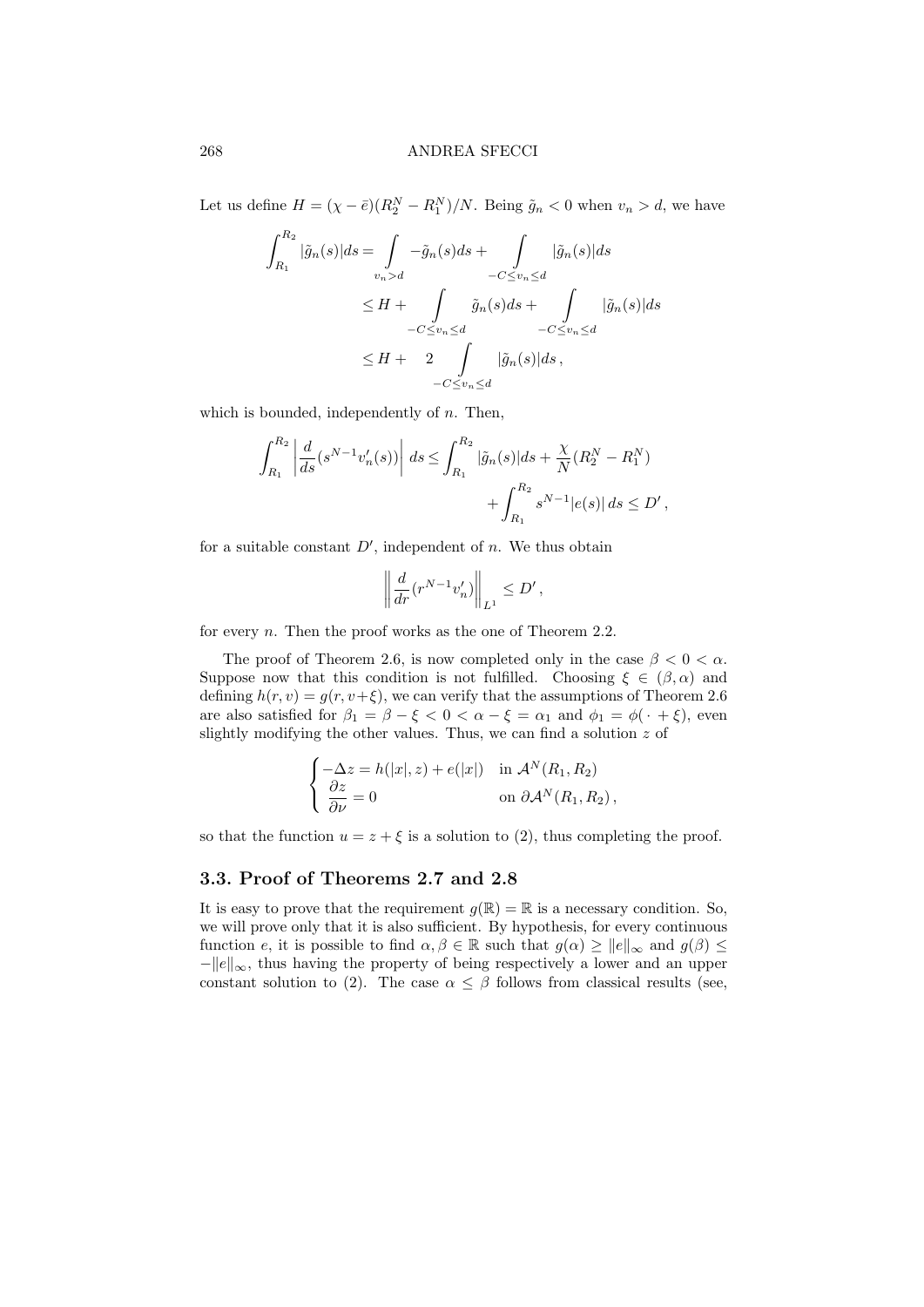Let us define  $H = (\chi - \bar{e})(R_2^N - R_1^N)/N$ . Being  $\tilde{g}_n < 0$  when  $v_n > d$ , we have

$$
\int_{R_1}^{R_2} |\tilde{g}_n(s)| ds = \int_{v_n > d} -\tilde{g}_n(s) ds + \int_{-C \le v_n \le d} |\tilde{g}_n(s)| ds
$$
  

$$
\le H + \int_{-C \le v_n \le d} \tilde{g}_n(s) ds + \int_{-C \le v_n \le d} |\tilde{g}_n(s)| ds
$$
  

$$
\le H + 2 \int_{-C \le v_n \le d} |\tilde{g}_n(s)| ds,
$$

which is bounded, independently of  $n$ . Then,

$$
\int_{R_1}^{R_2} \left| \frac{d}{ds} (s^{N-1} v_n'(s)) \right| ds \le \int_{R_1}^{R_2} |\tilde{g}_n(s)| ds + \frac{\chi}{N} (R_2^N - R_1^N) + \int_{R_1}^{R_2} s^{N-1} |e(s)| ds \le D',
$$

for a suitable constant  $D'$ , independent of n. We thus obtain

$$
\left\| \frac{d}{dr} (r^{N-1} v'_n) \right\|_{L^1} \le D',
$$

for every *n*. Then the proof works as the one of Theorem 2.2.

The proof of Theorem 2.6, is now completed only in the case  $\beta < 0 < \alpha$ . Suppose now that this condition is not fulfilled. Choosing  $\xi \in (\beta, \alpha)$  and defining  $h(r, v) = g(r, v+\xi)$ , we can verify that the assumptions of Theorem 2.6 are also satisfied for  $\beta_1 = \beta - \xi < 0 < \alpha - \xi = \alpha_1$  and  $\phi_1 = \phi(\cdot + \xi)$ , even slightly modifying the other values. Thus, we can find a solution  $z$  of

$$
\begin{cases}\n-\Delta z = h(|x|, z) + e(|x|) & \text{in } \mathcal{A}^N(R_1, R_2) \\
\frac{\partial z}{\partial \nu} = 0 & \text{on } \partial \mathcal{A}^N(R_1, R_2),\n\end{cases}
$$

so that the function  $u = z + \xi$  is a solution to (2), thus completing the proof.

# 3.3. Proof of Theorems 2.7 and 2.8

It is easy to prove that the requirement  $g(\mathbb{R}) = \mathbb{R}$  is a necessary condition. So, we will prove only that it is also sufficient. By hypothesis, for every continuous function e, it is possible to find  $\alpha, \beta \in \mathbb{R}$  such that  $g(\alpha) \ge ||e||_{\infty}$  and  $g(\beta) \le$  $-\Vert e\Vert_{\infty}$ , thus having the property of being respectively a lower and an upper constant solution to (2). The case  $\alpha \leq \beta$  follows from classical results (see,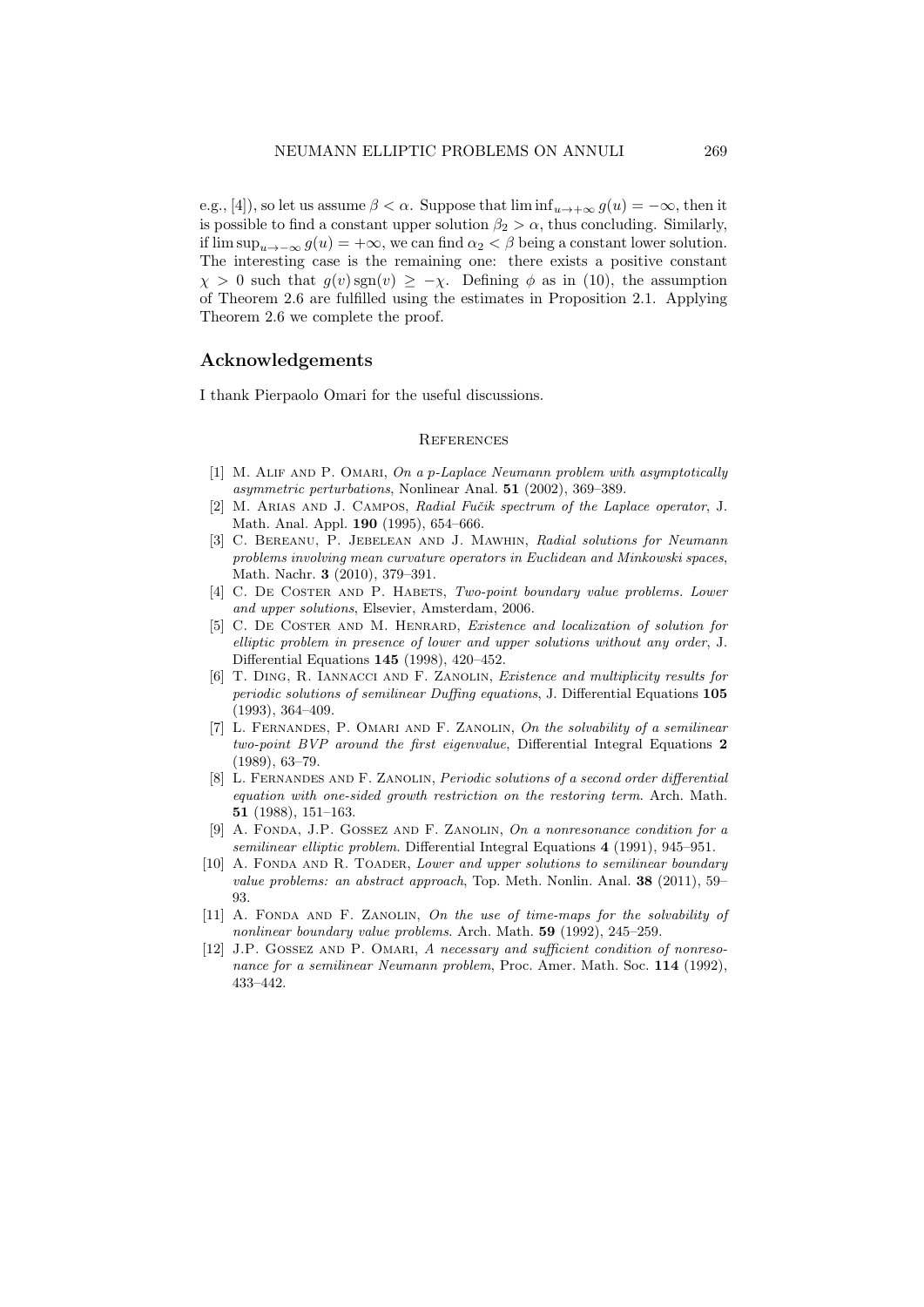e.g., [4]), so let us assume  $\beta < \alpha$ . Suppose that  $\liminf_{u \to +\infty} g(u) = -\infty$ , then it is possible to find a constant upper solution  $\beta_2 > \alpha$ , thus concluding. Similarly, if  $\limsup_{u\to-\infty} g(u) = +\infty$ , we can find  $\alpha_2 < \beta$  being a constant lower solution. The interesting case is the remaining one: there exists a positive constant  $\chi > 0$  such that  $g(v)$  sgn $(v) \geq -\chi$ . Defining  $\phi$  as in (10), the assumption of Theorem 2.6 are fulfilled using the estimates in Proposition 2.1. Applying Theorem 2.6 we complete the proof.

## Acknowledgements

I thank Pierpaolo Omari for the useful discussions.

#### **REFERENCES**

- [1] M. Alif and P. Omari, On a p-Laplace Neumann problem with asymptotically asymmetric perturbations, Nonlinear Anal. 51 (2002), 369–389.
- [2] M. ARIAS AND J. CAMPOS, Radial Fučik spectrum of the Laplace operator, J. Math. Anal. Appl. 190 (1995), 654–666.
- [3] C. Bereanu, P. Jebelean and J. Mawhin, Radial solutions for Neumann problems involving mean curvature operators in Euclidean and Minkowski spaces, Math. Nachr. 3 (2010), 379–391.
- [4] C. DE COSTER AND P. HABETS, Two-point boundary value problems. Lower and upper solutions, Elsevier, Amsterdam, 2006.
- [5] C. De Coster and M. Henrard, Existence and localization of solution for elliptic problem in presence of lower and upper solutions without any order, J. Differential Equations 145 (1998), 420–452.
- [6] T. Ding, R. Iannacci and F. Zanolin, Existence and multiplicity results for periodic solutions of semilinear Duffing equations, J. Differential Equations 105 (1993), 364–409.
- [7] L. FERNANDES, P. OMARI AND F. ZANOLIN, On the solvability of a semilinear two-point BVP around the first eigenvalue, Differential Integral Equations 2 (1989), 63–79.
- [8] L. Fernandes and F. Zanolin, Periodic solutions of a second order differential equation with one-sided growth restriction on the restoring term. Arch. Math. 51 (1988), 151–163.
- [9] A. Fonda, J.P. Gossez and F. Zanolin, On a nonresonance condition for a semilinear elliptic problem. Differential Integral Equations 4 (1991), 945–951.
- [10] A. FONDA AND R. TOADER, Lower and upper solutions to semilinear boundary value problems: an abstract approach, Top. Meth. Nonlin. Anal. 38 (2011), 59– 93.
- [11] A. Fonda and F. Zanolin, On the use of time-maps for the solvability of nonlinear boundary value problems. Arch. Math. 59 (1992), 245–259.
- [12] J.P. GOSSEZ AND P. OMARI, A necessary and sufficient condition of nonresonance for a semilinear Neumann problem, Proc. Amer. Math. Soc. 114 (1992), 433–442.